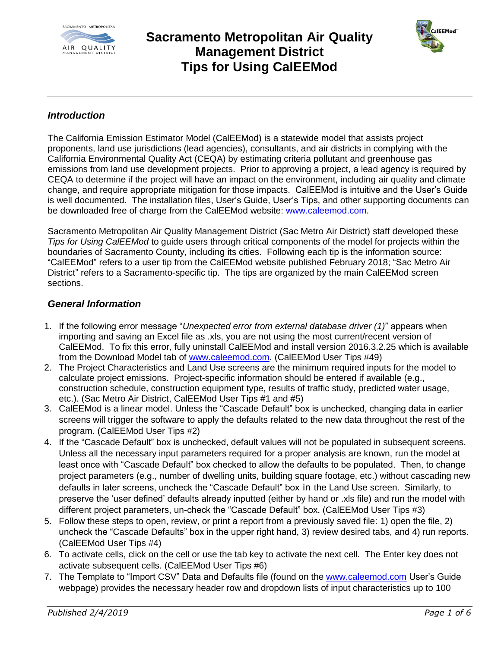



#### *Introduction*

The California Emission Estimator Model (CalEEMod) is a statewide model that assists project proponents, land use jurisdictions (lead agencies), consultants, and air districts in complying with the California Environmental Quality Act (CEQA) by estimating criteria pollutant and greenhouse gas emissions from land use development projects. Prior to approving a project, a lead agency is required by CEQA to determine if the project will have an impact on the environment, including air quality and climate change, and require appropriate mitigation for those impacts. CalEEMod is intuitive and the User's Guide is well documented. The installation files, User's Guide, User's Tips, and other supporting documents can be downloaded free of charge from the CalEEMod website: [www.caleemod.com.](http://www.caleemod.com/)

Sacramento Metropolitan Air Quality Management District (Sac Metro Air District) staff developed these *Tips for Using CalEEMod* to guide users through critical components of the model for projects within the boundaries of Sacramento County, including its cities. Following each tip is the information source: "CalEEMod" refers to a user tip from the CalEEMod website published February 2018; "Sac Metro Air District" refers to a Sacramento-specific tip. The tips are organized by the main CalEEMod screen sections.

#### *General Information*

- 1. If the following error message "*Unexpected error from external database driver (1)*" appears when importing and saving an Excel file as .xls, you are not using the most current/recent version of CalEEMod. To fix this error, fully uninstall CalEEMod and install version 2016.3.2.25 which is available from the Download Model tab of [www.caleemod.com.](http://www.caleemod.com/) (CalEEMod User Tips #49)
- 2. The Project Characteristics and Land Use screens are the minimum required inputs for the model to calculate project emissions. Project-specific information should be entered if available (e.g., construction schedule, construction equipment type, results of traffic study, predicted water usage, etc.). (Sac Metro Air District, CalEEMod User Tips #1 and #5)
- 3. CalEEMod is a linear model. Unless the "Cascade Default" box is unchecked, changing data in earlier screens will trigger the software to apply the defaults related to the new data throughout the rest of the program. (CalEEMod User Tips #2)
- 4. If the "Cascade Default" box is unchecked, default values will not be populated in subsequent screens. Unless all the necessary input parameters required for a proper analysis are known, run the model at least once with "Cascade Default" box checked to allow the defaults to be populated. Then, to change project parameters (e.g., number of dwelling units, building square footage, etc.) without cascading new defaults in later screens, uncheck the "Cascade Default" box in the Land Use screen. Similarly, to preserve the 'user defined' defaults already inputted (either by hand or .xls file) and run the model with different project parameters, un-check the "Cascade Default" box. (CalEEMod User Tips #3)
- 5. Follow these steps to open, review, or print a report from a previously saved file: 1) open the file, 2) uncheck the "Cascade Defaults" box in the upper right hand, 3) review desired tabs, and 4) run reports. (CalEEMod User Tips #4)
- 6. To activate cells, click on the cell or use the tab key to activate the next cell. The Enter key does not activate subsequent cells. (CalEEMod User Tips #6)
- 7. The Template to "Import CSV" Data and Defaults file (found on the [www.caleemod.com](http://www.caleemod.com/) User's Guide webpage) provides the necessary header row and dropdown lists of input characteristics up to 100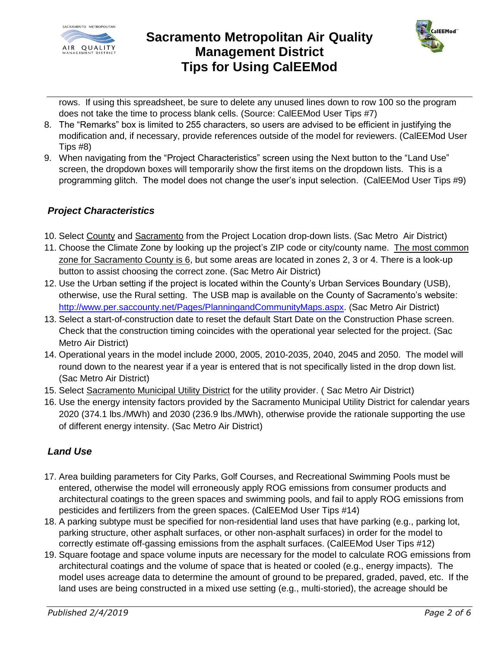



rows. If using this spreadsheet, be sure to delete any unused lines down to row 100 so the program does not take the time to process blank cells. (Source: CalEEMod User Tips #7)

- 8. The "Remarks" box is limited to 255 characters, so users are advised to be efficient in justifying the modification and, if necessary, provide references outside of the model for reviewers. (CalEEMod User Tips #8)
- 9. When navigating from the "Project Characteristics" screen using the Next button to the "Land Use" screen, the dropdown boxes will temporarily show the first items on the dropdown lists. This is a programming glitch. The model does not change the user's input selection. (CalEEMod User Tips #9)

#### *Project Characteristics*

- 10. Select County and Sacramento from the Project Location drop-down lists. (Sac Metro Air District)
- 11. Choose the Climate Zone by looking up the project's ZIP code or city/county name. The most common zone for Sacramento County is 6, but some areas are located in zones 2, 3 or 4. There is a look-up button to assist choosing the correct zone. (Sac Metro Air District)
- 12. Use the Urban setting if the project is located within the County's Urban Services Boundary (USB), otherwise, use the Rural setting. The USB map is available on the County of Sacramento's website: [http://www.per.saccounty.net/Pages/PlanningandCommunityMaps.aspx.](http://www.per.saccounty.net/Pages/PlanningandCommunityMaps.aspx) (Sac Metro Air District)
- 13. Select a start-of-construction date to reset the default Start Date on the Construction Phase screen. Check that the construction timing coincides with the operational year selected for the project. (Sac Metro Air District)
- 14. Operational years in the model include 2000, 2005, 2010-2035, 2040, 2045 and 2050. The model will round down to the nearest year if a year is entered that is not specifically listed in the drop down list. (Sac Metro Air District)
- 15. Select Sacramento Municipal Utility District for the utility provider. (Sac Metro Air District)
- 16. Use the energy intensity factors provided by the Sacramento Municipal Utility District for calendar years 2020 (374.1 lbs./MWh) and 2030 (236.9 lbs./MWh), otherwise provide the rationale supporting the use of different energy intensity. (Sac Metro Air District)

### *Land Use*

- 17. Area building parameters for City Parks, Golf Courses, and Recreational Swimming Pools must be entered, otherwise the model will erroneously apply ROG emissions from consumer products and architectural coatings to the green spaces and swimming pools, and fail to apply ROG emissions from pesticides and fertilizers from the green spaces. (CalEEMod User Tips #14)
- 18. A parking subtype must be specified for non-residential land uses that have parking (e.g., parking lot, parking structure, other asphalt surfaces, or other non-asphalt surfaces) in order for the model to correctly estimate off-gassing emissions from the asphalt surfaces. (CalEEMod User Tips #12)
- 19. Square footage and space volume inputs are necessary for the model to calculate ROG emissions from architectural coatings and the volume of space that is heated or cooled (e.g., energy impacts). The model uses acreage data to determine the amount of ground to be prepared, graded, paved, etc. If the land uses are being constructed in a mixed use setting (e.g., multi-storied), the acreage should be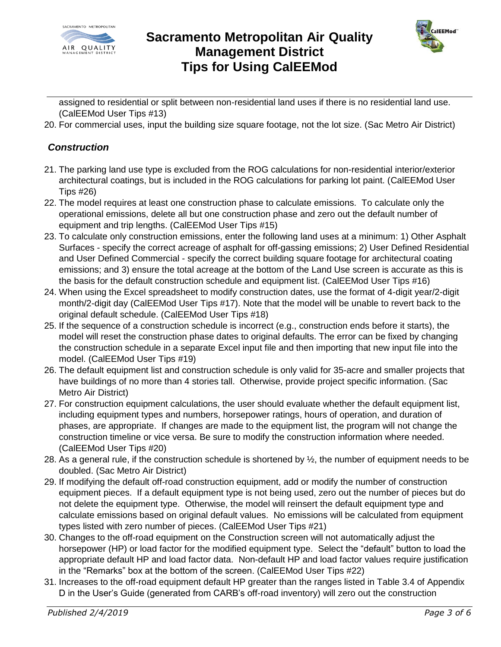



assigned to residential or split between non-residential land uses if there is no residential land use. (CalEEMod User Tips #13)

20. For commercial uses, input the building size square footage, not the lot size. (Sac Metro Air District)

#### *Construction*

- 21. The parking land use type is excluded from the ROG calculations for non-residential interior/exterior architectural coatings, but is included in the ROG calculations for parking lot paint. (CalEEMod User Tips #26)
- 22. The model requires at least one construction phase to calculate emissions. To calculate only the operational emissions, delete all but one construction phase and zero out the default number of equipment and trip lengths. (CalEEMod User Tips #15)
- 23. To calculate only construction emissions, enter the following land uses at a minimum: 1) Other Asphalt Surfaces - specify the correct acreage of asphalt for off-gassing emissions; 2) User Defined Residential and User Defined Commercial - specify the correct building square footage for architectural coating emissions; and 3) ensure the total acreage at the bottom of the Land Use screen is accurate as this is the basis for the default construction schedule and equipment list. (CalEEMod User Tips #16)
- 24. When using the Excel spreadsheet to modify construction dates, use the format of 4-digit year/2-digit month/2-digit day (CalEEMod User Tips #17). Note that the model will be unable to revert back to the original default schedule. (CalEEMod User Tips #18)
- 25. If the sequence of a construction schedule is incorrect (e.g., construction ends before it starts), the model will reset the construction phase dates to original defaults. The error can be fixed by changing the construction schedule in a separate Excel input file and then importing that new input file into the model. (CalEEMod User Tips #19)
- 26. The default equipment list and construction schedule is only valid for 35-acre and smaller projects that have buildings of no more than 4 stories tall. Otherwise, provide project specific information. (Sac Metro Air District)
- 27. For construction equipment calculations, the user should evaluate whether the default equipment list, including equipment types and numbers, horsepower ratings, hours of operation, and duration of phases, are appropriate. If changes are made to the equipment list, the program will not change the construction timeline or vice versa. Be sure to modify the construction information where needed. (CalEEMod User Tips #20)
- 28. As a general rule, if the construction schedule is shortened by ½, the number of equipment needs to be doubled. (Sac Metro Air District)
- 29. If modifying the default off-road construction equipment, add or modify the number of construction equipment pieces. If a default equipment type is not being used, zero out the number of pieces but do not delete the equipment type. Otherwise, the model will reinsert the default equipment type and calculate emissions based on original default values. No emissions will be calculated from equipment types listed with zero number of pieces. (CalEEMod User Tips #21)
- 30. Changes to the off-road equipment on the Construction screen will not automatically adjust the horsepower (HP) or load factor for the modified equipment type. Select the "default" button to load the appropriate default HP and load factor data. Non-default HP and load factor values require justification in the "Remarks" box at the bottom of the screen. (CalEEMod User Tips #22)
- 31. Increases to the off-road equipment default HP greater than the ranges listed in Table 3.4 of Appendix D in the User's Guide (generated from CARB's off-road inventory) will zero out the construction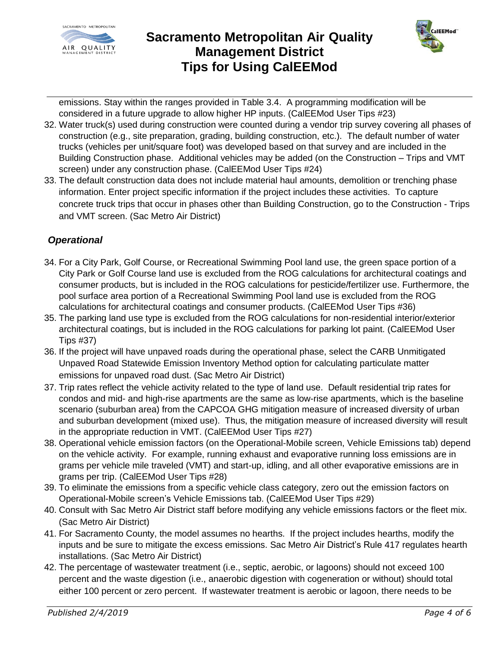



emissions. Stay within the ranges provided in Table 3.4. A programming modification will be considered in a future upgrade to allow higher HP inputs. (CalEEMod User Tips #23)

- 32. Water truck(s) used during construction were counted during a vendor trip survey covering all phases of construction (e.g., site preparation, grading, building construction, etc.). The default number of water trucks (vehicles per unit/square foot) was developed based on that survey and are included in the Building Construction phase. Additional vehicles may be added (on the Construction – Trips and VMT screen) under any construction phase. (CalEEMod User Tips #24)
- 33. The default construction data does not include material haul amounts, demolition or trenching phase information. Enter project specific information if the project includes these activities. To capture concrete truck trips that occur in phases other than Building Construction, go to the Construction - Trips and VMT screen. (Sac Metro Air District)

### *Operational*

- 34. For a City Park, Golf Course, or Recreational Swimming Pool land use, the green space portion of a City Park or Golf Course land use is excluded from the ROG calculations for architectural coatings and consumer products, but is included in the ROG calculations for pesticide/fertilizer use. Furthermore, the pool surface area portion of a Recreational Swimming Pool land use is excluded from the ROG calculations for architectural coatings and consumer products. (CalEEMod User Tips #36)
- 35. The parking land use type is excluded from the ROG calculations for non-residential interior/exterior architectural coatings, but is included in the ROG calculations for parking lot paint. (CalEEMod User Tips #37)
- 36. If the project will have unpaved roads during the operational phase, select the CARB Unmitigated Unpaved Road Statewide Emission Inventory Method option for calculating particulate matter emissions for unpaved road dust. (Sac Metro Air District)
- 37. Trip rates reflect the vehicle activity related to the type of land use. Default residential trip rates for condos and mid- and high-rise apartments are the same as low-rise apartments, which is the baseline scenario (suburban area) from the CAPCOA GHG mitigation measure of increased diversity of urban and suburban development (mixed use). Thus, the mitigation measure of increased diversity will result in the appropriate reduction in VMT. (CalEEMod User Tips #27)
- 38. Operational vehicle emission factors (on the Operational-Mobile screen, Vehicle Emissions tab) depend on the vehicle activity. For example, running exhaust and evaporative running loss emissions are in grams per vehicle mile traveled (VMT) and start-up, idling, and all other evaporative emissions are in grams per trip. (CalEEMod User Tips #28)
- 39. To eliminate the emissions from a specific vehicle class category, zero out the emission factors on Operational-Mobile screen's Vehicle Emissions tab. (CalEEMod User Tips #29)
- 40. Consult with Sac Metro Air District staff before modifying any vehicle emissions factors or the fleet mix. (Sac Metro Air District)
- 41. For Sacramento County, the model assumes no hearths. If the project includes hearths, modify the inputs and be sure to mitigate the excess emissions. Sac Metro Air District's Rule 417 regulates hearth installations. (Sac Metro Air District)
- 42. The percentage of wastewater treatment (i.e., septic, aerobic, or lagoons) should not exceed 100 percent and the waste digestion (i.e., anaerobic digestion with cogeneration or without) should total either 100 percent or zero percent. If wastewater treatment is aerobic or lagoon, there needs to be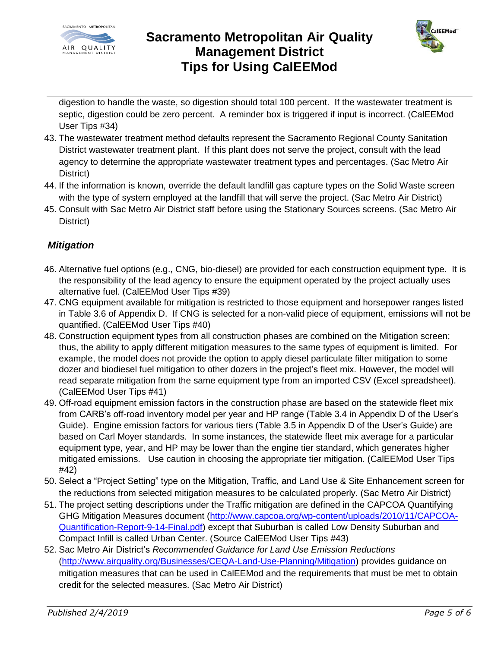



digestion to handle the waste, so digestion should total 100 percent. If the wastewater treatment is septic, digestion could be zero percent. A reminder box is triggered if input is incorrect. (CalEEMod User Tips #34)

- 43. The wastewater treatment method defaults represent the Sacramento Regional County Sanitation District wastewater treatment plant. If this plant does not serve the project, consult with the lead agency to determine the appropriate wastewater treatment types and percentages. (Sac Metro Air District)
- 44. If the information is known, override the default landfill gas capture types on the Solid Waste screen with the type of system employed at the landfill that will serve the project. (Sac Metro Air District)
- 45. Consult with Sac Metro Air District staff before using the Stationary Sources screens. (Sac Metro Air District)

### *Mitigation*

- 46. Alternative fuel options (e.g., CNG, bio-diesel) are provided for each construction equipment type. It is the responsibility of the lead agency to ensure the equipment operated by the project actually uses alternative fuel. (CalEEMod User Tips #39)
- 47. CNG equipment available for mitigation is restricted to those equipment and horsepower ranges listed in Table 3.6 of Appendix D. If CNG is selected for a non-valid piece of equipment, emissions will not be quantified. (CalEEMod User Tips #40)
- 48. Construction equipment types from all construction phases are combined on the Mitigation screen; thus, the ability to apply different mitigation measures to the same types of equipment is limited. For example, the model does not provide the option to apply diesel particulate filter mitigation to some dozer and biodiesel fuel mitigation to other dozers in the project's fleet mix. However, the model will read separate mitigation from the same equipment type from an imported CSV (Excel spreadsheet). (CalEEMod User Tips #41)
- 49. Off-road equipment emission factors in the construction phase are based on the statewide fleet mix from CARB's off-road inventory model per year and HP range (Table 3.4 in Appendix D of the User's Guide). Engine emission factors for various tiers (Table 3.5 in Appendix D of the User's Guide) are based on Carl Moyer standards. In some instances, the statewide fleet mix average for a particular equipment type, year, and HP may be lower than the engine tier standard, which generates higher mitigated emissions. Use caution in choosing the appropriate tier mitigation. (CalEEMod User Tips #42)
- 50. Select a "Project Setting" type on the Mitigation, Traffic, and Land Use & Site Enhancement screen for the reductions from selected mitigation measures to be calculated properly. (Sac Metro Air District)
- 51. The project setting descriptions under the Traffic mitigation are defined in the CAPCOA Quantifying GHG Mitigation Measures document [\(http://www.capcoa.org/wp-content/uploads/2010/11/CAPCOA-](http://www.capcoa.org/wp-content/uploads/2010/11/CAPCOA-Quantification-Report-9-14-Final.pdf)[Quantification-Report-9-14-Final.pdf\)](http://www.capcoa.org/wp-content/uploads/2010/11/CAPCOA-Quantification-Report-9-14-Final.pdf) except that Suburban is called Low Density Suburban and Compact Infill is called Urban Center. (Source CalEEMod User Tips #43)
- 52. Sac Metro Air District's *[Recommended Guidance for Land Use Emission Reductions](http://www.airquality.org/businesses/ceqa-land-use-planning/mitigation)* [\(http://www.airquality.org/Businesses/CEQA-Land-Use-Planning/Mitigation\)](http://www.airquality.org/Businesses/CEQA-Land-Use-Planning/Mitigation) provides guidance on mitigation measures that can be used in CalEEMod and the requirements that must be met to obtain credit for the selected measures. (Sac Metro Air District)